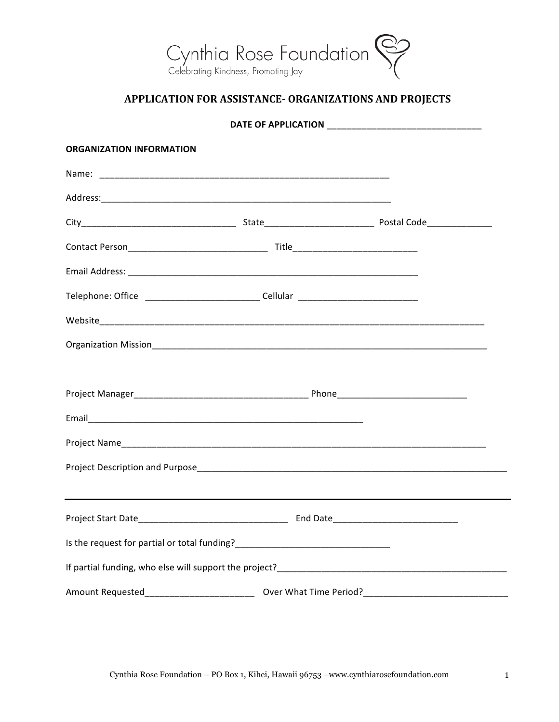

## **APPLICATION FOR ASSISTANCE- ORGANIZATIONS AND PROJECTS**

| <b>ORGANIZATION INFORMATION</b>                                                  |          |  |  |  |
|----------------------------------------------------------------------------------|----------|--|--|--|
|                                                                                  |          |  |  |  |
|                                                                                  |          |  |  |  |
|                                                                                  |          |  |  |  |
|                                                                                  |          |  |  |  |
|                                                                                  |          |  |  |  |
| Telephone: Office ____________________________Cellular _________________________ |          |  |  |  |
|                                                                                  |          |  |  |  |
|                                                                                  |          |  |  |  |
|                                                                                  |          |  |  |  |
|                                                                                  |          |  |  |  |
|                                                                                  |          |  |  |  |
|                                                                                  |          |  |  |  |
|                                                                                  |          |  |  |  |
|                                                                                  |          |  |  |  |
| Project Start Date                                                               | End Date |  |  |  |
|                                                                                  |          |  |  |  |
|                                                                                  |          |  |  |  |
| Amount Requested_________________________                                        |          |  |  |  |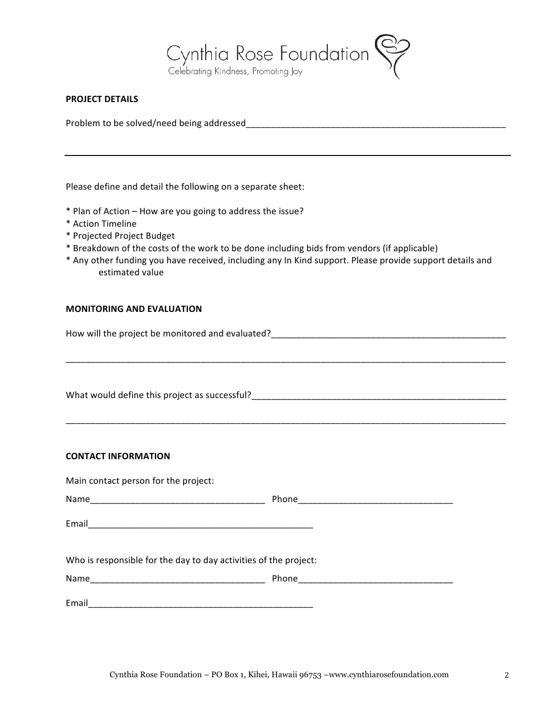

## **PROJECT DETAILS**

Problem to be solved/need being addressed\_\_\_\_\_\_\_\_\_\_\_\_\_\_\_\_\_\_\_\_\_\_\_\_\_\_\_\_\_\_\_\_\_\_\_\_\_\_\_\_\_\_\_\_\_\_\_\_\_\_\_\_

Please define and detail the following on a separate sheet:

- \* Plan of Action – How are you going to address the issue?
- \* Action Timeline
- \* Projected Project Budget
- \* Breakdown of the costs of the work to be done including bids from vendors (if applicable)
- \* Any other funding you have received, including any In Kind support. Please provide support details and estimated value

## **MONITORING AND EVALUATION**

How will the project be monitored and evaluated?\_\_\_\_\_\_\_\_\_\_\_\_\_\_\_\_\_\_\_\_\_\_\_\_\_\_\_\_\_\_\_\_\_\_\_\_\_\_\_\_\_\_\_\_\_\_\_

\_\_\_\_\_\_\_\_\_\_\_\_\_\_\_\_\_\_\_\_\_\_\_\_\_\_\_\_\_\_\_\_\_\_\_\_\_\_\_\_\_\_\_\_\_\_\_\_\_\_\_\_\_\_\_\_\_\_\_\_\_\_\_\_\_\_\_\_\_\_\_\_\_\_\_\_\_\_\_\_\_\_\_\_\_\_\_\_

\_\_\_\_\_\_\_\_\_\_\_\_\_\_\_\_\_\_\_\_\_\_\_\_\_\_\_\_\_\_\_\_\_\_\_\_\_\_\_\_\_\_\_\_\_\_\_\_\_\_\_\_\_\_\_\_\_\_\_\_\_\_\_\_\_\_\_\_\_\_\_\_\_\_\_\_\_\_\_\_\_\_\_\_\_\_\_\_

What would define this project as successful?\_\_\_\_\_\_\_\_\_\_\_\_\_\_\_\_\_\_\_\_\_\_\_\_\_\_\_\_\_\_\_\_\_\_\_\_\_\_\_\_\_\_\_\_\_\_\_\_\_\_\_

## **CONTACT INFORMATION**

Main contact person for the project: Name\_\_\_\_\_\_\_\_\_\_\_\_\_\_\_\_\_\_\_\_\_\_\_\_\_\_\_\_\_\_\_\_\_\_\_ Phone\_\_\_\_\_\_\_\_\_\_\_\_\_\_\_\_\_\_\_\_\_\_\_\_\_\_\_\_\_\_\_ Email Who is responsible for the day to day activities of the project: Name\_\_\_\_\_\_\_\_\_\_\_\_\_\_\_\_\_\_\_\_\_\_\_\_\_\_\_\_\_\_\_\_\_\_\_ Phone\_\_\_\_\_\_\_\_\_\_\_\_\_\_\_\_\_\_\_\_\_\_\_\_\_\_\_\_\_\_\_ Email